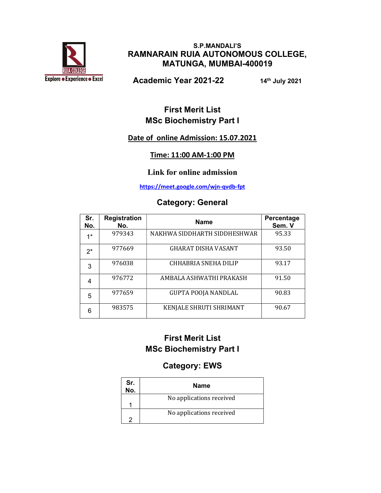

#### S.P.MANDALI'S RAMNARAIN RUIA AUTONOMOUS COLLEGE, MATUNGA, MUMBAI-400019

Academic Year 2021-22 14th July 2021

## First Merit List MSc Biochemistry Part I

#### Date of online Admission: 15.07.2021

#### Time: 11:00 AM-1:00 PM

#### Link for online admission

https://meet.google.com/wjn-qvdb-fpt

#### Category: General

| Sr.<br>No. | <b>Registration</b><br>No. | <b>Name</b>                  | Percentage<br>Sem. V |
|------------|----------------------------|------------------------------|----------------------|
| $4*$       | 979343                     | NAKHWA SIDDHARTH SIDDHESHWAR | 95.33                |
| $2^*$      | 977669                     | <b>GHARAT DISHA VASANT</b>   | 93.50                |
| 3          | 976038                     | CHHABRIA SNEHA DILIP         | 93.17                |
| 4          | 976772                     | AMBALA ASHWATHI PRAKASH      | 91.50                |
| 5          | 977659                     | <b>GUPTA POOJA NANDLAL</b>   | 90.83                |
| 6          | 983575                     | KENJALE SHRUTI SHRIMANT      | 90.67                |

## First Merit List MSc Biochemistry Part I

# Category: EWS

| Sr.<br>No. | <b>Name</b>              |
|------------|--------------------------|
|            | No applications received |
|            | No applications received |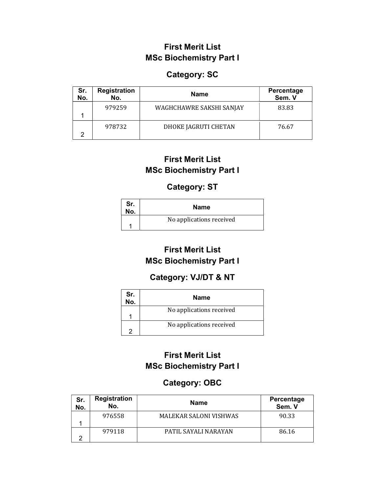### First Merit List MSc Biochemistry Part I

#### Category: SC

| Sr.<br>No. | <b>Registration</b><br>No. | <b>Name</b>              | Percentage<br>Sem. V |
|------------|----------------------------|--------------------------|----------------------|
|            | 979259                     | WAGHCHAWRE SAKSHI SANJAY | 83.83                |
| ⌒          | 978732                     | DHOKE JAGRUTI CHETAN     | 76.67                |

## First Merit List MSc Biochemistry Part I

#### Category: ST

| Sr.<br>No. | <b>Name</b>              |
|------------|--------------------------|
|            | No applications received |

# First Merit List MSc Biochemistry Part I

### Category: VJ/DT & NT

| Sr.<br>No. | <b>Name</b>              |
|------------|--------------------------|
|            | No applications received |
|            | No applications received |

## First Merit List MSc Biochemistry Part I

# Category: OBC

| Sr.<br>No. | <b>Registration</b><br>No. | <b>Name</b>                   | Percentage<br>Sem. V |
|------------|----------------------------|-------------------------------|----------------------|
|            | 976558                     | <b>MALEKAR SALONI VISHWAS</b> | 90.33                |
|            |                            |                               |                      |
|            | 979118                     | PATIL SAYALI NARAYAN          | 86.16                |
| ⌒          |                            |                               |                      |